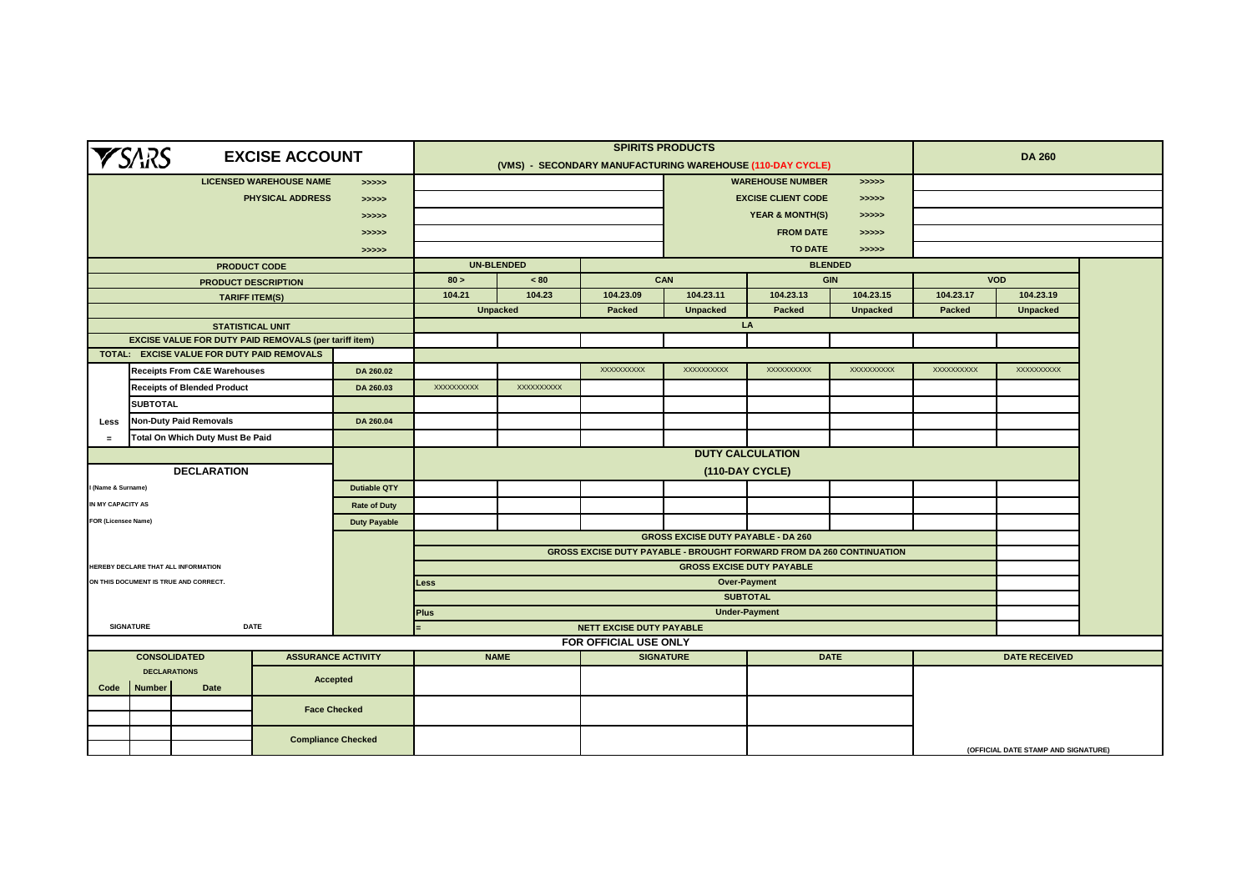|                            | <b>YSARS</b>                                                                 |                                            | <b>EXCISE ACCOUNT</b>                                        |                     |                                                                                                                          |                 | (VMS) - SECONDARY MANUFACTURING WAREHOUSE (110-DAY CYCLE) | <b>SPIRITS PRODUCTS</b>             |                                        |                 | <b>DA 260</b>     |                                     |  |
|----------------------------|------------------------------------------------------------------------------|--------------------------------------------|--------------------------------------------------------------|---------------------|--------------------------------------------------------------------------------------------------------------------------|-----------------|-----------------------------------------------------------|-------------------------------------|----------------------------------------|-----------------|-------------------|-------------------------------------|--|
|                            |                                                                              |                                            | <b>LICENSED WAREHOUSE NAME</b>                               | >>>>                |                                                                                                                          |                 |                                                           |                                     | <b>WAREHOUSE NUMBER</b>                | > >> > >        |                   |                                     |  |
|                            |                                                                              |                                            | PHYSICAL ADDRESS                                             | > >> > > >          |                                                                                                                          |                 |                                                           | <b>EXCISE CLIENT CODE</b><br>>>>>>  |                                        |                 |                   |                                     |  |
|                            |                                                                              |                                            |                                                              | >>>>>               |                                                                                                                          |                 |                                                           | <b>YEAR &amp; MONTH(S)</b><br>>>>>> |                                        |                 |                   |                                     |  |
|                            |                                                                              |                                            |                                                              | >>>>>               |                                                                                                                          |                 |                                                           | <b>FROM DATE</b><br>>>>>>           |                                        |                 |                   |                                     |  |
|                            |                                                                              |                                            |                                                              | >>>>>               |                                                                                                                          |                 |                                                           |                                     | <b>TO DATE</b>                         | >>>>>           |                   |                                     |  |
|                            |                                                                              |                                            | <b>PRODUCT CODE</b>                                          |                     | <b>UN-BLENDED</b>                                                                                                        |                 |                                                           |                                     |                                        | <b>BLENDED</b>  |                   |                                     |  |
|                            |                                                                              |                                            | PRODUCT DESCRIPTION                                          |                     | 80 >                                                                                                                     | < 80            |                                                           | CAN<br><b>GIN</b>                   |                                        |                 | <b>VOD</b>        |                                     |  |
|                            |                                                                              |                                            | <b>TARIFF ITEM(S)</b>                                        |                     | 104.21                                                                                                                   | 104.23          | 104.23.09                                                 | 104.23.11                           | 104.23.13                              | 104.23.15       | 104.23.17         | 104.23.19                           |  |
|                            |                                                                              |                                            |                                                              |                     |                                                                                                                          | <b>Unpacked</b> | Packed                                                    | <b>Unpacked</b>                     | Packed                                 | <b>Unpacked</b> | Packed            | <b>Unpacked</b>                     |  |
|                            |                                                                              | <b>STATISTICAL UNIT</b>                    |                                                              |                     |                                                                                                                          |                 |                                                           |                                     | LA                                     |                 |                   |                                     |  |
|                            |                                                                              |                                            | <b>EXCISE VALUE FOR DUTY PAID REMOVALS (per tariff item)</b> |                     |                                                                                                                          |                 |                                                           |                                     |                                        |                 |                   |                                     |  |
|                            |                                                                              | TOTAL: EXCISE VALUE FOR DUTY PAID REMOVALS |                                                              |                     |                                                                                                                          |                 | <b>XXXXXXXXXX</b>                                         | <b>XXXXXXXXXX</b>                   | <b>XXXXXXXXXX</b>                      |                 | <b>XXXXXXXXXX</b> | <b>XXXXXXXXXX</b>                   |  |
|                            | <b>Receipts From C&amp;E Warehouses</b><br>DA 260.02                         |                                            |                                                              |                     | XXXXXXXXXX                                                                                                               | XXXXXXXXXX      |                                                           |                                     |                                        | XXXXXXXXXX      |                   |                                     |  |
|                            | <b>Receipts of Blended Product</b><br>DA 260.03<br><b>SUBTOTAL</b>           |                                            |                                                              |                     |                                                                                                                          |                 |                                                           |                                     |                                        |                 |                   |                                     |  |
|                            |                                                                              |                                            |                                                              |                     |                                                                                                                          |                 |                                                           |                                     |                                        |                 |                   |                                     |  |
|                            | <b>Non-Duty Paid Removals</b><br>DA 260.04<br>Less                           |                                            |                                                              |                     |                                                                                                                          |                 |                                                           |                                     |                                        |                 |                   |                                     |  |
| $\equiv$                   |                                                                              | Total On Which Duty Must Be Paid           |                                                              |                     |                                                                                                                          |                 |                                                           |                                     |                                        |                 |                   |                                     |  |
|                            |                                                                              |                                            |                                                              |                     |                                                                                                                          |                 |                                                           |                                     | <b>DUTY CALCULATION</b>                |                 |                   |                                     |  |
|                            |                                                                              | <b>DECLARATION</b>                         |                                                              |                     | (110-DAY CYCLE)                                                                                                          |                 |                                                           |                                     |                                        |                 |                   |                                     |  |
| (Name & Surname)           |                                                                              |                                            |                                                              | <b>Dutiable QTY</b> |                                                                                                                          |                 |                                                           |                                     |                                        |                 |                   |                                     |  |
| IN MY CAPACITY AS          |                                                                              |                                            |                                                              | <b>Rate of Duty</b> |                                                                                                                          |                 |                                                           |                                     |                                        |                 |                   |                                     |  |
| <b>FOR (Licensee Name)</b> |                                                                              |                                            |                                                              | <b>Duty Payable</b> |                                                                                                                          |                 |                                                           |                                     |                                        |                 |                   |                                     |  |
|                            |                                                                              |                                            |                                                              |                     | <b>GROSS EXCISE DUTY PAYABLE - DA 260</b><br><b>GROSS EXCISE DUTY PAYABLE - BROUGHT FORWARD FROM DA 260 CONTINUATION</b> |                 |                                                           |                                     |                                        |                 |                   |                                     |  |
|                            |                                                                              |                                            |                                                              |                     |                                                                                                                          |                 |                                                           |                                     |                                        |                 |                   |                                     |  |
|                            | HEREBY DECLARE THAT ALL INFORMATION<br>ON THIS DOCUMENT IS TRUE AND CORRECT. |                                            |                                                              |                     |                                                                                                                          |                 |                                                           |                                     | <b>GROSS EXCISE DUTY PAYABLE</b>       |                 |                   |                                     |  |
|                            |                                                                              |                                            |                                                              |                     | Less                                                                                                                     |                 |                                                           |                                     | <b>Over-Payment</b><br><b>SUBTOTAL</b> |                 |                   |                                     |  |
|                            |                                                                              |                                            |                                                              |                     | <b>Plus</b>                                                                                                              |                 |                                                           |                                     | <b>Under-Payment</b>                   |                 |                   |                                     |  |
|                            | <b>SIGNATURE</b>                                                             |                                            | <b>DATE</b>                                                  |                     |                                                                                                                          |                 | NETT EXCISE DUTY PAYABLE                                  |                                     |                                        |                 |                   |                                     |  |
|                            |                                                                              |                                            |                                                              |                     |                                                                                                                          |                 | FOR OFFICIAL USE ONLY                                     |                                     |                                        |                 |                   |                                     |  |
|                            | <b>CONSOLIDATED</b>                                                          |                                            | <b>ASSURANCE ACTIVITY</b>                                    |                     |                                                                                                                          | <b>NAME</b>     |                                                           | <b>SIGNATURE</b>                    |                                        | <b>DATE</b>     |                   | <b>DATE RECEIVED</b>                |  |
|                            | <b>DECLARATIONS</b>                                                          |                                            | <b>Accepted</b>                                              |                     |                                                                                                                          |                 |                                                           |                                     |                                        |                 |                   |                                     |  |
| Code                       | <b>Number</b>                                                                | <b>Date</b>                                |                                                              |                     |                                                                                                                          |                 |                                                           |                                     |                                        |                 |                   |                                     |  |
|                            |                                                                              |                                            | <b>Face Checked</b>                                          |                     |                                                                                                                          |                 |                                                           |                                     |                                        |                 |                   |                                     |  |
|                            |                                                                              |                                            |                                                              |                     |                                                                                                                          |                 |                                                           |                                     |                                        |                 |                   |                                     |  |
|                            |                                                                              |                                            | <b>Compliance Checked</b>                                    |                     |                                                                                                                          |                 |                                                           |                                     |                                        |                 |                   | (OFFICIAL DATE STAMP AND SIGNATURE) |  |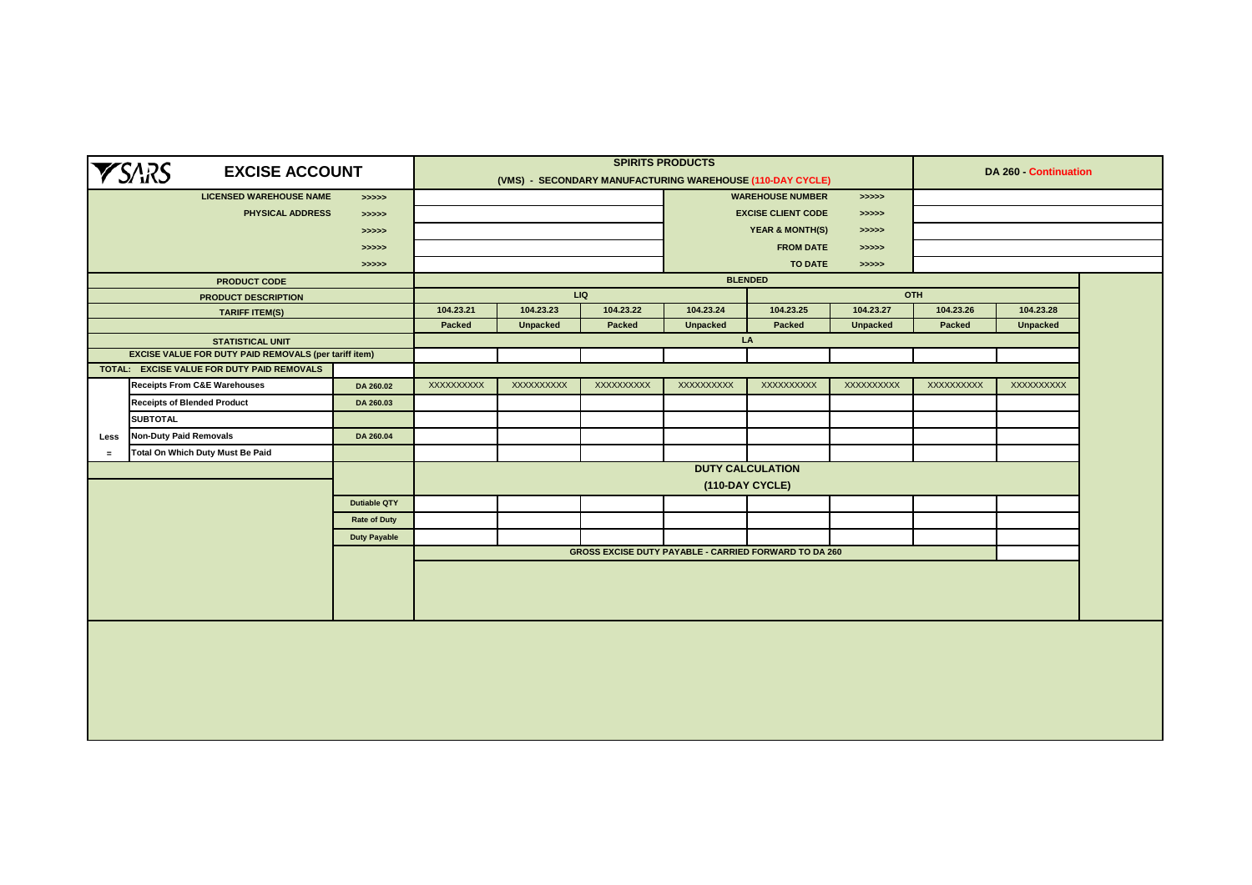|          | <b>YSARS</b><br><b>EXCISE ACCOUNT</b>                                                 |                     |               |                                            | <b>SPIRITS PRODUCTS</b><br>(VMS) - SECONDARY MANUFACTURING WAREHOUSE (110-DAY CYCLE) |                                        |                         |                   | DA 260 - Continuation |                 |  |  |
|----------|---------------------------------------------------------------------------------------|---------------------|---------------|--------------------------------------------|--------------------------------------------------------------------------------------|----------------------------------------|-------------------------|-------------------|-----------------------|-----------------|--|--|
|          | <b>LICENSED WAREHOUSE NAME</b>                                                        | > >> > >            |               |                                            |                                                                                      |                                        | <b>WAREHOUSE NUMBER</b> | > >> > > >        |                       |                 |  |  |
|          | PHYSICAL ADDRESS                                                                      | > >> > >            |               |                                            |                                                                                      | <b>EXCISE CLIENT CODE</b><br>> >> > >  |                         |                   |                       |                 |  |  |
|          |                                                                                       | > >> > > >          |               |                                            |                                                                                      | <b>YEAR &amp; MONTH(S)</b><br>> >> > > |                         |                   |                       |                 |  |  |
|          |                                                                                       | > >> > >            |               |                                            |                                                                                      | <b>FROM DATE</b><br>> >> > >           |                         |                   |                       |                 |  |  |
|          |                                                                                       | >>>>>               |               |                                            |                                                                                      |                                        | TO DATE                 | >>>>>             |                       |                 |  |  |
|          | <b>PRODUCT CODE</b>                                                                   |                     |               |                                            |                                                                                      | <b>BLENDED</b>                         |                         |                   |                       |                 |  |  |
|          | <b>PRODUCT DESCRIPTION</b>                                                            |                     |               |                                            | <b>LIQ</b>                                                                           |                                        |                         |                   | OTH                   |                 |  |  |
|          | <b>TARIFF ITEM(S)</b>                                                                 |                     | 104.23.21     | 104.23.23                                  | 104.23.22                                                                            | 104.23.24                              | 104.23.25               | 104.23.27         | 104.23.26             | 104.23.28       |  |  |
|          |                                                                                       |                     | <b>Packed</b> | <b>Unpacked</b>                            | Packed                                                                               | <b>Unpacked</b>                        | Packed                  | <b>Unpacked</b>   | Packed                | <b>Unpacked</b> |  |  |
|          | <b>STATISTICAL UNIT</b>                                                               |                     |               |                                            |                                                                                      | LA                                     |                         |                   |                       |                 |  |  |
|          | <b>EXCISE VALUE FOR DUTY PAID REMOVALS (per tariff item)</b>                          |                     |               |                                            |                                                                                      |                                        |                         |                   |                       |                 |  |  |
|          | TOTAL: EXCISE VALUE FOR DUTY PAID REMOVALS<br><b>Receipts From C&amp;E Warehouses</b> |                     | XXXXXXXXXX    | XXXXXXXXXX                                 | XXXXXXXXXX                                                                           | XXXXXXXXX                              | XXXXXXXXX               | <b>XXXXXXXXXX</b> | XXXXXXXXXX            | XXXXXXXXXX      |  |  |
|          |                                                                                       | DA 260.02           |               |                                            |                                                                                      |                                        |                         |                   |                       |                 |  |  |
|          | <b>Receipts of Blended Product</b>                                                    | DA 260.03           |               |                                            |                                                                                      |                                        |                         |                   |                       |                 |  |  |
|          | <b>SUBTOTAL</b>                                                                       |                     |               |                                            |                                                                                      |                                        |                         |                   |                       |                 |  |  |
| Less     | <b>Non-Duty Paid Removals</b>                                                         | DA 260.04           |               |                                            |                                                                                      |                                        |                         |                   |                       |                 |  |  |
| $\equiv$ | Total On Which Duty Must Be Paid                                                      |                     |               |                                            |                                                                                      |                                        |                         |                   |                       |                 |  |  |
|          |                                                                                       |                     |               | <b>DUTY CALCULATION</b><br>(110-DAY CYCLE) |                                                                                      |                                        |                         |                   |                       |                 |  |  |
|          |                                                                                       |                     |               |                                            |                                                                                      |                                        |                         |                   |                       |                 |  |  |
|          |                                                                                       | <b>Dutiable QTY</b> |               |                                            |                                                                                      |                                        |                         |                   |                       |                 |  |  |
|          |                                                                                       | <b>Rate of Duty</b> |               |                                            |                                                                                      |                                        |                         |                   |                       |                 |  |  |
|          |                                                                                       | <b>Duty Payable</b> |               |                                            |                                                                                      |                                        |                         |                   |                       |                 |  |  |
|          |                                                                                       |                     |               |                                            | <b>GROSS EXCISE DUTY PAYABLE - CARRIED FORWARD TO DA 260</b>                         |                                        |                         |                   |                       |                 |  |  |
|          |                                                                                       |                     |               |                                            |                                                                                      |                                        |                         |                   |                       |                 |  |  |
|          |                                                                                       |                     |               |                                            |                                                                                      |                                        |                         |                   |                       |                 |  |  |
|          |                                                                                       |                     |               |                                            |                                                                                      |                                        |                         |                   |                       |                 |  |  |
|          |                                                                                       |                     |               |                                            |                                                                                      |                                        |                         |                   |                       |                 |  |  |
|          |                                                                                       |                     |               |                                            |                                                                                      |                                        |                         |                   |                       |                 |  |  |
|          |                                                                                       |                     |               |                                            |                                                                                      |                                        |                         |                   |                       |                 |  |  |
|          |                                                                                       |                     |               |                                            |                                                                                      |                                        |                         |                   |                       |                 |  |  |
|          |                                                                                       |                     |               |                                            |                                                                                      |                                        |                         |                   |                       |                 |  |  |
|          |                                                                                       |                     |               |                                            |                                                                                      |                                        |                         |                   |                       |                 |  |  |
|          |                                                                                       |                     |               |                                            |                                                                                      |                                        |                         |                   |                       |                 |  |  |
|          |                                                                                       |                     |               |                                            |                                                                                      |                                        |                         |                   |                       |                 |  |  |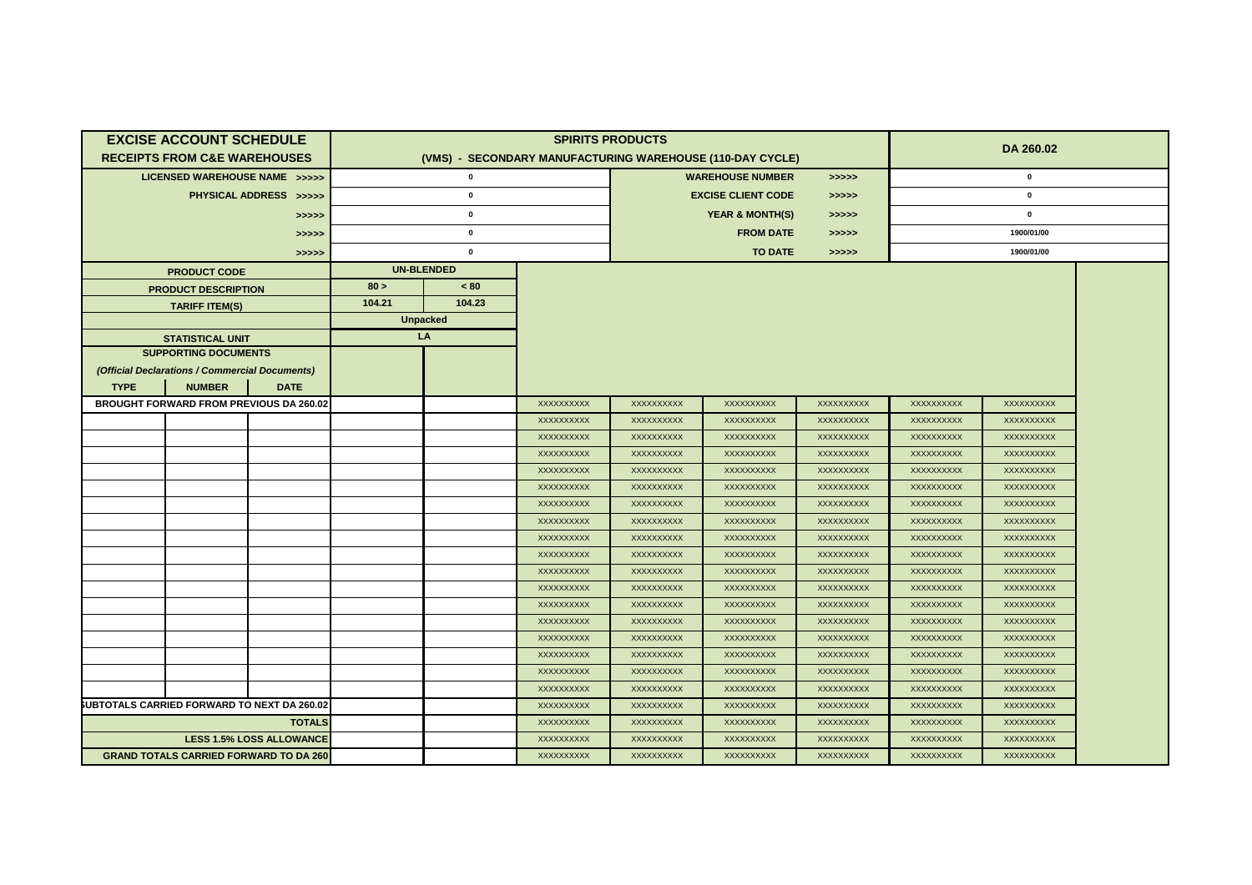|             | <b>EXCISE ACCOUNT SCHEDULE</b>                     |                                 |        |                   |                                                           | <b>SPIRITS PRODUCTS</b>            |                            |                          | DA 260.02                |                          |  |  |
|-------------|----------------------------------------------------|---------------------------------|--------|-------------------|-----------------------------------------------------------|------------------------------------|----------------------------|--------------------------|--------------------------|--------------------------|--|--|
|             | <b>RECEIPTS FROM C&amp;E WAREHOUSES</b>            |                                 |        |                   | (VMS) - SECONDARY MANUFACTURING WAREHOUSE (110-DAY CYCLE) |                                    |                            |                          |                          |                          |  |  |
|             | LICENSED WAREHOUSE NAME >>>>>                      |                                 |        | $\mathbf 0$       |                                                           |                                    | <b>WAREHOUSE NUMBER</b>    | >>>>>                    |                          |                          |  |  |
|             |                                                    | PHYSICAL ADDRESS >>>>>          |        | $\mathbf 0$       |                                                           | <b>EXCISE CLIENT CODE</b><br>>>>>> |                            |                          |                          |                          |  |  |
|             |                                                    | >>>>>                           |        | $\pmb{0}$         |                                                           |                                    | <b>YEAR &amp; MONTH(S)</b> | >>>>>                    |                          |                          |  |  |
|             |                                                    | >>>>>                           |        | $\mathbf 0$       |                                                           | <b>FROM DATE</b><br>>>>>>          |                            |                          |                          |                          |  |  |
|             |                                                    | >>>>>                           |        | $\pmb{0}$         |                                                           | <b>TO DATE</b><br>>>>>>            |                            |                          |                          | 1900/01/00               |  |  |
|             | <b>PRODUCT CODE</b>                                |                                 |        | <b>UN-BLENDED</b> |                                                           |                                    |                            |                          |                          |                          |  |  |
|             | <b>PRODUCT DESCRIPTION</b>                         |                                 | 80 >   | ~< 80             |                                                           |                                    |                            |                          |                          |                          |  |  |
|             | <b>TARIFF ITEM(S)</b>                              |                                 | 104.21 | 104.23            |                                                           |                                    |                            |                          |                          |                          |  |  |
|             |                                                    |                                 |        | <b>Unpacked</b>   |                                                           |                                    |                            |                          |                          |                          |  |  |
|             | <b>STATISTICAL UNIT</b>                            |                                 |        | LA                |                                                           |                                    |                            |                          |                          |                          |  |  |
|             | <b>SUPPORTING DOCUMENTS</b>                        |                                 |        |                   |                                                           |                                    |                            |                          |                          |                          |  |  |
|             | (Official Declarations / Commercial Documents)     |                                 |        |                   |                                                           |                                    |                            |                          |                          |                          |  |  |
| <b>TYPE</b> | <b>NUMBER</b>                                      | <b>DATE</b>                     |        |                   |                                                           |                                    |                            |                          |                          |                          |  |  |
|             | <b>BROUGHT FORWARD FROM PREVIOUS DA 260.02</b>     |                                 |        |                   | XXXXXXXXX                                                 | XXXXXXXXX                          | <b>XXXXXXXXXX</b>          | XXXXXXXXXX               | <b>XXXXXXXXXX</b>        | <b>XXXXXXXXXX</b>        |  |  |
|             |                                                    |                                 |        |                   | <b>XXXXXXXXXX</b>                                         | <b>XXXXXXXXXX</b>                  | <b>XXXXXXXXXX</b>          | XXXXXXXXXX               | <b>XXXXXXXXXX</b>        | <b>XXXXXXXXXX</b>        |  |  |
|             |                                                    |                                 |        |                   | XXXXXXXXXX                                                | XXXXXXXXXX                         | XXXXXXXXXX                 | XXXXXXXXXX               | XXXXXXXXXX               | XXXXXXXXXX               |  |  |
|             |                                                    |                                 |        |                   | XXXXXXXXX                                                 | XXXXXXXXX                          | <b>XXXXXXXXXX</b>          | XXXXXXXXX                | XXXXXXXXXX               | XXXXXXXXXX               |  |  |
|             |                                                    |                                 |        |                   | XXXXXXXXXX                                                | XXXXXXXXXX                         | <b>XXXXXXXXXX</b>          | XXXXXXXXXX               | XXXXXXXXXX               | XXXXXXXXXX               |  |  |
|             |                                                    |                                 |        |                   | XXXXXXXXXX                                                | XXXXXXXXXX                         | <b>XXXXXXXXXX</b>          | XXXXXXXXXX               | XXXXXXXXXX               | XXXXXXXXXX               |  |  |
|             |                                                    |                                 |        |                   | <b>XXXXXXXXXX</b>                                         | XXXXXXXXXX                         | <b>XXXXXXXXXX</b>          | <b>XXXXXXXXXX</b>        | <b>XXXXXXXXXX</b>        | <b>XXXXXXXXXX</b>        |  |  |
|             |                                                    |                                 |        |                   | XXXXXXXXXX                                                | XXXXXXXXXX                         | XXXXXXXXXX                 | XXXXXXXXXX               | XXXXXXXXXX               | XXXXXXXXXX               |  |  |
|             |                                                    |                                 |        |                   | XXXXXXXXXX                                                | <b>XXXXXXXXXX</b>                  | XXXXXXXXXX                 | <b>XXXXXXXXXX</b>        | XXXXXXXXXX               | <b>XXXXXXXXXX</b>        |  |  |
|             |                                                    |                                 |        |                   | XXXXXXXXXX                                                | XXXXXXXXXX                         | XXXXXXXXXX                 | XXXXXXXXXX               | XXXXXXXXXX               | XXXXXXXXXX               |  |  |
|             |                                                    |                                 |        |                   | XXXXXXXXXX                                                | XXXXXXXXXX                         | XXXXXXXXXX                 | XXXXXXXXXX               | XXXXXXXXXX               | XXXXXXXXXX               |  |  |
|             |                                                    |                                 |        |                   | XXXXXXXXXX<br>XXXXXXXXX                                   | XXXXXXXXXX<br>XXXXXXXXXX           | XXXXXXXXXX<br>XXXXXXXXXX   | XXXXXXXXXX<br>XXXXXXXXXX | XXXXXXXXXX<br>XXXXXXXXXX | XXXXXXXXXX<br>XXXXXXXXXX |  |  |
|             |                                                    |                                 |        |                   | XXXXXXXXXX                                                | XXXXXXXXXX                         | XXXXXXXXXX                 | XXXXXXXXXX               | XXXXXXXXXX               | XXXXXXXXXX               |  |  |
|             |                                                    |                                 |        |                   | XXXXXXXXXX                                                | XXXXXXXXXX                         | XXXXXXXXXX                 | XXXXXXXXXX               | XXXXXXXXXX               | XXXXXXXXXX               |  |  |
|             |                                                    |                                 |        |                   | XXXXXXXXXX                                                | XXXXXXXXXX                         | XXXXXXXXXX                 | XXXXXXXXXX               | XXXXXXXXXX               | XXXXXXXXXX               |  |  |
|             |                                                    |                                 |        |                   | XXXXXXXXXX                                                | XXXXXXXXXX                         | XXXXXXXXXX                 | XXXXXXXXXX               | XXXXXXXXXX               | <b>XXXXXXXXXX</b>        |  |  |
|             |                                                    |                                 |        |                   | XXXXXXXXXX                                                | XXXXXXXXXX                         | <b>XXXXXXXXXX</b>          | XXXXXXXXX                | XXXXXXXXXX               | XXXXXXXXXX               |  |  |
|             | <b>SUBTOTALS CARRIED FORWARD TO NEXT DA 260.02</b> |                                 |        |                   | XXXXXXXXXX                                                | XXXXXXXXX                          | XXXXXXXXXX                 | XXXXXXXXXX               | XXXXXXXXXX               | XXXXXXXXXX               |  |  |
|             |                                                    | <b>TOTALS</b>                   |        |                   | XXXXXXXXXX                                                | XXXXXXXXX                          | XXXXXXXXXX                 | XXXXXXXXXX               | XXXXXXXXXX               | XXXXXXXXXX               |  |  |
|             |                                                    | <b>LESS 1.5% LOSS ALLOWANCE</b> |        |                   | XXXXXXXXXX                                                | XXXXXXXXXX                         | <b>XXXXXXXXXX</b>          | XXXXXXXXXX               | <b>XXXXXXXXXX</b>        | <b>XXXXXXXXXX</b>        |  |  |
|             | <b>GRAND TOTALS CARRIED FORWARD TO DA 260</b>      |                                 |        |                   | XXXXXXXXXX                                                | XXXXXXXXXX                         | XXXXXXXXXX                 | XXXXXXXXXX               | XXXXXXXXXX               | XXXXXXXXXX               |  |  |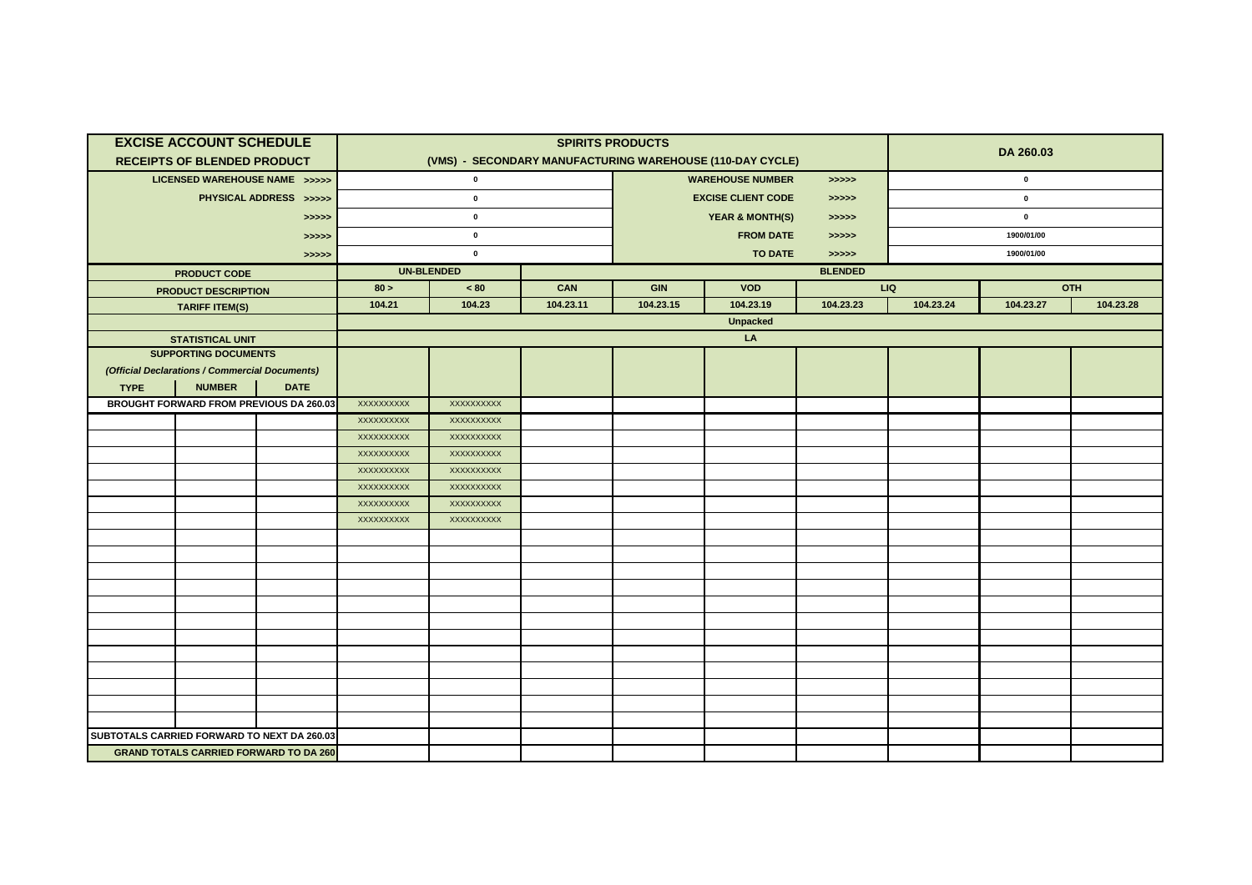|                                             | <b>EXCISE ACCOUNT SCHEDULE</b><br><b>RECEIPTS OF BLENDED PRODUCT</b> |                                               |            |                                     |           | <b>SPIRITS PRODUCTS</b>   | (VMS) - SECONDARY MANUFACTURING WAREHOUSE (110-DAY CYCLE) |           | DA 260.03   |            |           |  |
|---------------------------------------------|----------------------------------------------------------------------|-----------------------------------------------|------------|-------------------------------------|-----------|---------------------------|-----------------------------------------------------------|-----------|-------------|------------|-----------|--|
|                                             | LICENSED WAREHOUSE NAME >>>>>                                        |                                               |            | $\mathbf 0$                         |           |                           | <b>WAREHOUSE NUMBER</b>                                   | >>>>>     | $\pmb{0}$   |            |           |  |
|                                             |                                                                      | PHYSICAL ADDRESS >>>>>                        |            | $\mathbf 0$                         |           |                           | <b>EXCISE CLIENT CODE</b>                                 | >>>>>     | $\mathbf 0$ |            |           |  |
|                                             |                                                                      |                                               |            | $\mathbf 0$                         |           |                           | <b>YEAR &amp; MONTH(S)</b>                                |           | $\pmb{0}$   |            |           |  |
|                                             |                                                                      | >>>>>                                         |            |                                     |           |                           |                                                           | >>>>>     |             |            |           |  |
|                                             |                                                                      | >>>>>                                         |            | $\mathbf 0$                         |           | <b>FROM DATE</b><br>>>>>> |                                                           |           |             | 1900/01/00 |           |  |
|                                             |                                                                      | >>>>>                                         |            | $\mathbf 0$                         |           |                           | <b>TO DATE</b>                                            | > >> > >  |             | 1900/01/00 |           |  |
|                                             | <b>PRODUCT CODE</b>                                                  |                                               |            | <b>UN-BLENDED</b><br><b>BLENDED</b> |           |                           |                                                           |           |             |            |           |  |
|                                             | <b>PRODUCT DESCRIPTION</b>                                           |                                               | 80 >       | $~<$ 80                             | CAN       | GIN                       | <b>VOD</b>                                                |           | LIQ         |            | OTH       |  |
|                                             | <b>TARIFF ITEM(S)</b>                                                |                                               | 104.21     | 104.23                              | 104.23.11 | 104.23.15                 | 104.23.19                                                 | 104.23.23 | 104.23.24   | 104.23.27  | 104.23.28 |  |
|                                             |                                                                      |                                               |            |                                     |           |                           | <b>Unpacked</b>                                           |           |             |            |           |  |
|                                             | <b>STATISTICAL UNIT</b>                                              |                                               |            |                                     |           |                           | LA                                                        |           |             |            |           |  |
|                                             | <b>SUPPORTING DOCUMENTS</b>                                          |                                               |            |                                     |           |                           |                                                           |           |             |            |           |  |
|                                             | (Official Declarations / Commercial Documents)<br><b>NUMBER</b>      | <b>DATE</b>                                   |            |                                     |           |                           |                                                           |           |             |            |           |  |
| <b>TYPE</b>                                 | <b>BROUGHT FORWARD FROM PREVIOUS DA 260.03</b>                       |                                               | XXXXXXXXXX | XXXXXXXXX                           |           |                           |                                                           |           |             |            |           |  |
|                                             |                                                                      |                                               | XXXXXXXXXX | XXXXXXXXXX                          |           |                           |                                                           |           |             |            |           |  |
|                                             |                                                                      |                                               | XXXXXXXXXX | XXXXXXXXXX                          |           |                           |                                                           |           |             |            |           |  |
|                                             |                                                                      |                                               | XXXXXXXXXX | XXXXXXXXXX                          |           |                           |                                                           |           |             |            |           |  |
|                                             |                                                                      |                                               | XXXXXXXXX  | XXXXXXXXXX                          |           |                           |                                                           |           |             |            |           |  |
|                                             |                                                                      |                                               | XXXXXXXXX  | XXXXXXXXX                           |           |                           |                                                           |           |             |            |           |  |
|                                             |                                                                      |                                               | XXXXXXXXX  | XXXXXXXXXX                          |           |                           |                                                           |           |             |            |           |  |
|                                             |                                                                      |                                               | XXXXXXXXXX | XXXXXXXXXX                          |           |                           |                                                           |           |             |            |           |  |
|                                             |                                                                      |                                               |            |                                     |           |                           |                                                           |           |             |            |           |  |
|                                             |                                                                      |                                               |            |                                     |           |                           |                                                           |           |             |            |           |  |
|                                             |                                                                      |                                               |            |                                     |           |                           |                                                           |           |             |            |           |  |
|                                             |                                                                      |                                               |            |                                     |           |                           |                                                           |           |             |            |           |  |
|                                             |                                                                      |                                               |            |                                     |           |                           |                                                           |           |             |            |           |  |
|                                             |                                                                      |                                               |            |                                     |           |                           |                                                           |           |             |            |           |  |
|                                             |                                                                      |                                               |            |                                     |           |                           |                                                           |           |             |            |           |  |
|                                             |                                                                      |                                               |            |                                     |           |                           |                                                           |           |             |            |           |  |
|                                             |                                                                      |                                               |            |                                     |           |                           |                                                           |           |             |            |           |  |
|                                             |                                                                      |                                               |            |                                     |           |                           |                                                           |           |             |            |           |  |
|                                             |                                                                      |                                               |            |                                     |           |                           |                                                           |           |             |            |           |  |
|                                             |                                                                      |                                               |            |                                     |           |                           |                                                           |           |             |            |           |  |
| SUBTOTALS CARRIED FORWARD TO NEXT DA 260.03 |                                                                      |                                               |            |                                     |           |                           |                                                           |           |             |            |           |  |
|                                             |                                                                      | <b>GRAND TOTALS CARRIED FORWARD TO DA 260</b> |            |                                     |           |                           |                                                           |           |             |            |           |  |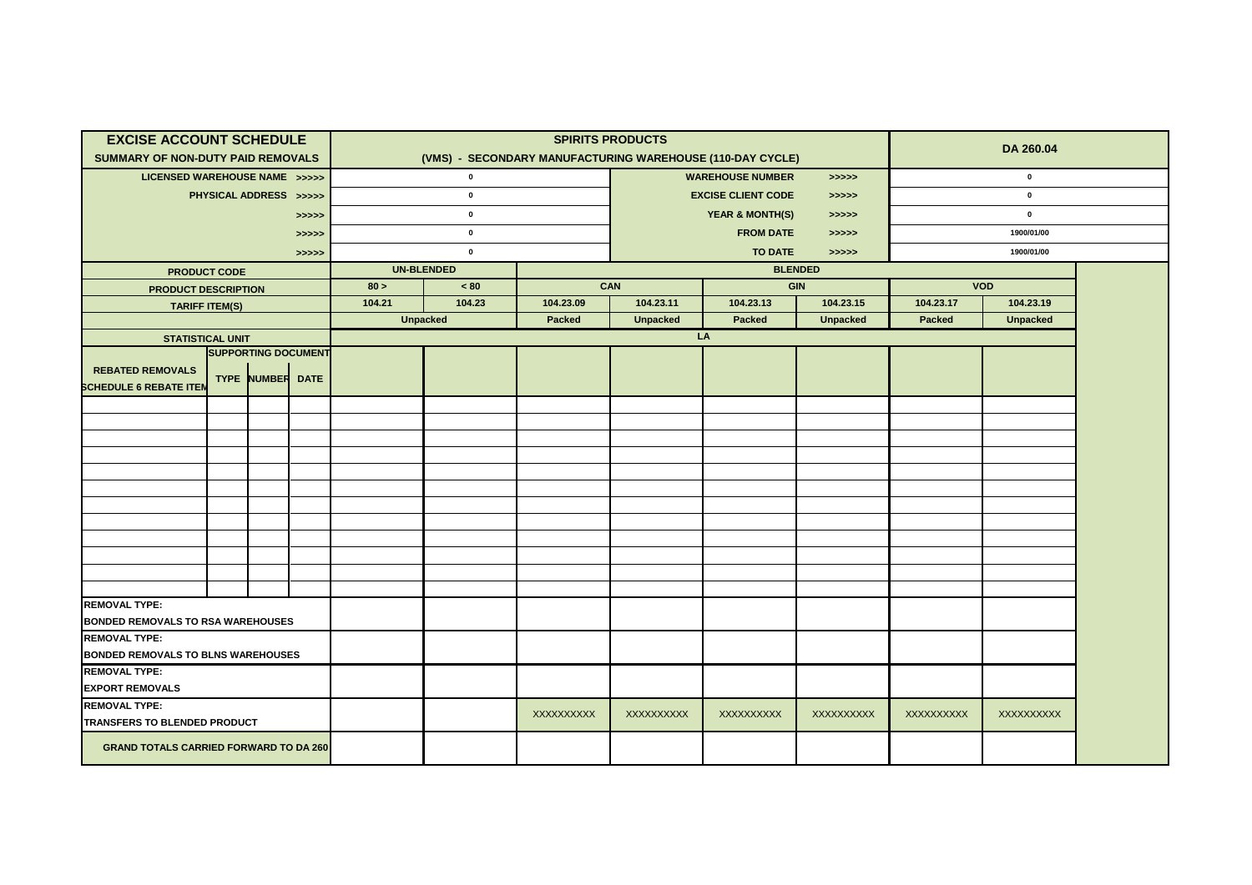| <b>EXCISE ACCOUNT SCHEDULE</b>                                               |                                           |  |                            |        |                                                           | <b>SPIRITS PRODUCTS</b> |                                       |               |                 | DA 260.04  |                 |  |
|------------------------------------------------------------------------------|-------------------------------------------|--|----------------------------|--------|-----------------------------------------------------------|-------------------------|---------------------------------------|---------------|-----------------|------------|-----------------|--|
| <b>SUMMARY OF NON-DUTY PAID REMOVALS</b>                                     |                                           |  |                            |        | (VMS) - SECONDARY MANUFACTURING WAREHOUSE (110-DAY CYCLE) |                         |                                       |               |                 |            |                 |  |
| LICENSED WAREHOUSE NAME >>>>>                                                |                                           |  |                            |        | $\mathbf 0$                                               |                         | <b>WAREHOUSE NUMBER</b><br>>>>>>      |               |                 |            |                 |  |
|                                                                              | PHYSICAL ADDRESS >>>>>                    |  |                            |        | $\pmb{0}$                                                 |                         | <b>EXCISE CLIENT CODE</b><br>> >> > > |               |                 |            |                 |  |
|                                                                              |                                           |  | >>>>>                      |        | $\pmb{0}$                                                 |                         | <b>YEAR &amp; MONTH(S)</b><br>>>>>>   |               |                 | $\pmb{0}$  |                 |  |
|                                                                              |                                           |  | >>>>>                      |        | $\pmb{0}$                                                 |                         | <b>FROM DATE</b><br>>>>>>             |               |                 | 1900/01/00 |                 |  |
|                                                                              |                                           |  | >>>>>                      |        | $\pmb{0}$                                                 |                         | <b>TO DATE</b><br>>>>>>               |               |                 |            |                 |  |
| <b>PRODUCT CODE</b>                                                          |                                           |  |                            |        | <b>UN-BLENDED</b>                                         |                         |                                       |               | <b>BLENDED</b>  |            |                 |  |
| <b>PRODUCT DESCRIPTION</b>                                                   |                                           |  |                            | 80 >   | < 80                                                      | CAN                     |                                       |               | GIN             | <b>VOD</b> |                 |  |
| <b>TARIFF ITEM(S)</b>                                                        |                                           |  |                            | 104.21 | 104.23                                                    | 104.23.09               | 104.23.11                             | 104.23.13     | 104.23.15       | 104.23.17  | 104.23.19       |  |
|                                                                              |                                           |  |                            |        | <b>Unpacked</b>                                           | Packed                  | <b>Unpacked</b>                       | <b>Packed</b> | <b>Unpacked</b> | Packed     | <b>Unpacked</b> |  |
| <b>STATISTICAL UNIT</b>                                                      |                                           |  | <b>SUPPORTING DOCUMENT</b> |        |                                                           |                         |                                       | LA            |                 |            |                 |  |
|                                                                              |                                           |  |                            |        |                                                           |                         |                                       |               |                 |            |                 |  |
| <b>REBATED REMOVALS</b><br>TYPE NUMBER DATE<br><b>SCHEDULE 6 REBATE ITEN</b> |                                           |  |                            |        |                                                           |                         |                                       |               |                 |            |                 |  |
|                                                                              |                                           |  |                            |        |                                                           |                         |                                       |               |                 |            |                 |  |
|                                                                              |                                           |  |                            |        |                                                           |                         |                                       |               |                 |            |                 |  |
|                                                                              |                                           |  |                            |        |                                                           |                         |                                       |               |                 |            |                 |  |
|                                                                              |                                           |  |                            |        |                                                           |                         |                                       |               |                 |            |                 |  |
|                                                                              |                                           |  |                            |        |                                                           |                         |                                       |               |                 |            |                 |  |
|                                                                              |                                           |  |                            |        |                                                           |                         |                                       |               |                 |            |                 |  |
|                                                                              |                                           |  |                            |        |                                                           |                         |                                       |               |                 |            |                 |  |
|                                                                              |                                           |  |                            |        |                                                           |                         |                                       |               |                 |            |                 |  |
|                                                                              |                                           |  |                            |        |                                                           |                         |                                       |               |                 |            |                 |  |
|                                                                              |                                           |  |                            |        |                                                           |                         |                                       |               |                 |            |                 |  |
|                                                                              |                                           |  |                            |        |                                                           |                         |                                       |               |                 |            |                 |  |
| <b>REMOVAL TYPE:</b>                                                         |                                           |  |                            |        |                                                           |                         |                                       |               |                 |            |                 |  |
| <b>BONDED REMOVALS TO RSA WAREHOUSES</b>                                     |                                           |  |                            |        |                                                           |                         |                                       |               |                 |            |                 |  |
| <b>REMOVAL TYPE:</b>                                                         |                                           |  |                            |        |                                                           |                         |                                       |               |                 |            |                 |  |
|                                                                              | <b>BONDED REMOVALS TO BLNS WAREHOUSES</b> |  |                            |        |                                                           |                         |                                       |               |                 |            |                 |  |
| <b>REMOVAL TYPE:</b>                                                         |                                           |  |                            |        |                                                           |                         |                                       |               |                 |            |                 |  |
| <b>EXPORT REMOVALS</b>                                                       |                                           |  |                            |        |                                                           |                         |                                       |               |                 |            |                 |  |
| <b>REMOVAL TYPE:</b>                                                         |                                           |  |                            |        |                                                           | XXXXXXXXXX              | XXXXXXXXXX                            | XXXXXXXXXX    | XXXXXXXXXX      | XXXXXXXXXX | XXXXXXXXXX      |  |
| TRANSFERS TO BLENDED PRODUCT                                                 |                                           |  |                            |        |                                                           |                         |                                       |               |                 |            |                 |  |
| <b>GRAND TOTALS CARRIED FORWARD TO DA 260</b>                                |                                           |  |                            |        |                                                           |                         |                                       |               |                 |            |                 |  |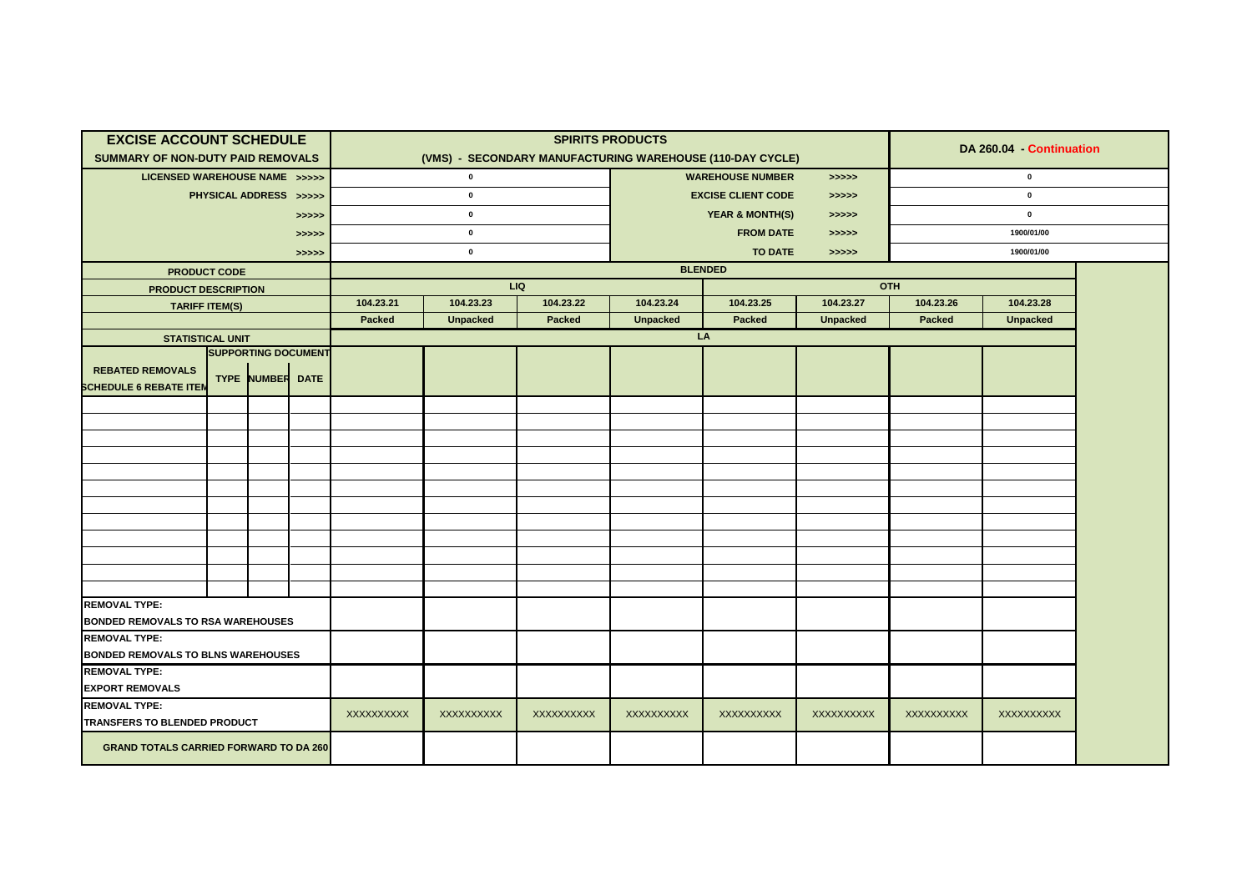| <b>EXCISE ACCOUNT SCHEDULE</b>                                                      |                        |  |                            |             |                                                           | <b>SPIRITS PRODUCTS</b> |                                                                              |                         |                 | DA 260.04 - Continuation |                 |  |  |
|-------------------------------------------------------------------------------------|------------------------|--|----------------------------|-------------|-----------------------------------------------------------|-------------------------|------------------------------------------------------------------------------|-------------------------|-----------------|--------------------------|-----------------|--|--|
| <b>SUMMARY OF NON-DUTY PAID REMOVALS</b>                                            |                        |  |                            |             | (VMS) - SECONDARY MANUFACTURING WAREHOUSE (110-DAY CYCLE) |                         |                                                                              |                         |                 |                          |                 |  |  |
| LICENSED WAREHOUSE NAME >>>>>                                                       |                        |  |                            |             | $\pmb{0}$                                                 |                         | <b>WAREHOUSE NUMBER</b><br>$\rightarrow \rightarrow \rightarrow \rightarrow$ |                         |                 |                          | $\mathbf 0$     |  |  |
|                                                                                     | PHYSICAL ADDRESS >>>>> |  |                            |             | $\pmb{0}$                                                 |                         | <b>EXCISE CLIENT CODE</b><br>> >> > >                                        |                         |                 |                          |                 |  |  |
|                                                                                     |                        |  | >>>>>                      |             | $\pmb{0}$                                                 |                         | <b>YEAR &amp; MONTH(S)</b><br>>>>>>                                          |                         |                 |                          |                 |  |  |
|                                                                                     |                        |  | >>>>>                      | $\mathbf 0$ |                                                           |                         |                                                                              | <b>FROM DATE</b>        | >>>>>           |                          |                 |  |  |
|                                                                                     |                        |  | >>>>>                      |             | $\pmb{0}$                                                 |                         |                                                                              | <b>TO DATE</b><br>>>>>> |                 |                          | 1900/01/00      |  |  |
| <b>PRODUCT CODE</b>                                                                 |                        |  |                            |             |                                                           |                         | <b>BLENDED</b>                                                               |                         |                 |                          |                 |  |  |
| <b>PRODUCT DESCRIPTION</b>                                                          |                        |  |                            |             | LIQ                                                       |                         |                                                                              |                         | OTH             |                          |                 |  |  |
| <b>TARIFF ITEM(S)</b>                                                               |                        |  |                            | 104.23.21   | 104.23.23                                                 | 104.23.22               | 104.23.24                                                                    | 104.23.25               | 104.23.27       | 104.23.26                | 104.23.28       |  |  |
|                                                                                     |                        |  |                            | Packed      | <b>Unpacked</b>                                           | Packed                  | <b>Unpacked</b>                                                              | <b>Packed</b>           | <b>Unpacked</b> | Packed                   | <b>Unpacked</b> |  |  |
| <b>STATISTICAL UNIT</b>                                                             |                        |  | <b>SUPPORTING DOCUMENT</b> |             |                                                           |                         |                                                                              | LA                      |                 |                          |                 |  |  |
|                                                                                     |                        |  |                            |             |                                                           |                         |                                                                              |                         |                 |                          |                 |  |  |
| <b>REBATED REMOVALS</b><br><b>TYPE NUMBER DATE</b><br><b>SCHEDULE 6 REBATE ITEN</b> |                        |  |                            |             |                                                           |                         |                                                                              |                         |                 |                          |                 |  |  |
|                                                                                     |                        |  |                            |             |                                                           |                         |                                                                              |                         |                 |                          |                 |  |  |
|                                                                                     |                        |  |                            |             |                                                           |                         |                                                                              |                         |                 |                          |                 |  |  |
|                                                                                     |                        |  |                            |             |                                                           |                         |                                                                              |                         |                 |                          |                 |  |  |
|                                                                                     |                        |  |                            |             |                                                           |                         |                                                                              |                         |                 |                          |                 |  |  |
|                                                                                     |                        |  |                            |             |                                                           |                         |                                                                              |                         |                 |                          |                 |  |  |
|                                                                                     |                        |  |                            |             |                                                           |                         |                                                                              |                         |                 |                          |                 |  |  |
|                                                                                     |                        |  |                            |             |                                                           |                         |                                                                              |                         |                 |                          |                 |  |  |
|                                                                                     |                        |  |                            |             |                                                           |                         |                                                                              |                         |                 |                          |                 |  |  |
|                                                                                     |                        |  |                            |             |                                                           |                         |                                                                              |                         |                 |                          |                 |  |  |
|                                                                                     |                        |  |                            |             |                                                           |                         |                                                                              |                         |                 |                          |                 |  |  |
|                                                                                     |                        |  |                            |             |                                                           |                         |                                                                              |                         |                 |                          |                 |  |  |
| <b>REMOVAL TYPE:</b>                                                                |                        |  |                            |             |                                                           |                         |                                                                              |                         |                 |                          |                 |  |  |
| <b>BONDED REMOVALS TO RSA WAREHOUSES</b>                                            |                        |  |                            |             |                                                           |                         |                                                                              |                         |                 |                          |                 |  |  |
| <b>REMOVAL TYPE:</b>                                                                |                        |  |                            |             |                                                           |                         |                                                                              |                         |                 |                          |                 |  |  |
| <b>BONDED REMOVALS TO BLNS WAREHOUSES</b>                                           |                        |  |                            |             |                                                           |                         |                                                                              |                         |                 |                          |                 |  |  |
| <b>REMOVAL TYPE:</b>                                                                |                        |  |                            |             |                                                           |                         |                                                                              |                         |                 |                          |                 |  |  |
| <b>EXPORT REMOVALS</b>                                                              |                        |  |                            |             |                                                           |                         |                                                                              |                         |                 |                          |                 |  |  |
| <b>REMOVAL TYPE:</b>                                                                |                        |  |                            | XXXXXXXXXX  | XXXXXXXXXX                                                | XXXXXXXXXX              | XXXXXXXXXX                                                                   | <b>XXXXXXXXXX</b>       | XXXXXXXXXX      | XXXXXXXXXX               | XXXXXXXXXX      |  |  |
| TRANSFERS TO BLENDED PRODUCT                                                        |                        |  |                            |             |                                                           |                         |                                                                              |                         |                 |                          |                 |  |  |
| <b>GRAND TOTALS CARRIED FORWARD TO DA 260</b>                                       |                        |  |                            |             |                                                           |                         |                                                                              |                         |                 |                          |                 |  |  |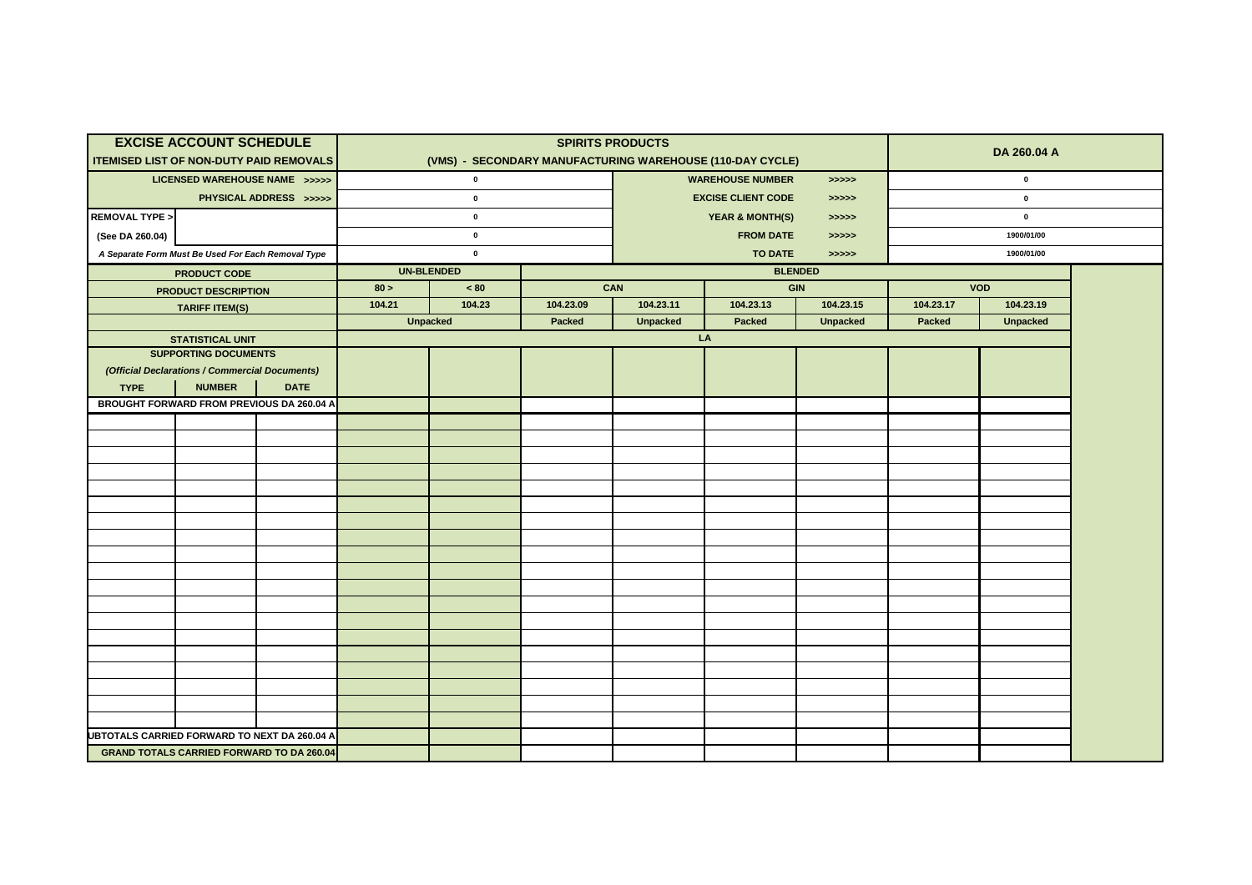|                                                | <b>EXCISE ACCOUNT SCHEDULE</b>                         |                        |        |                   |           | <b>SPIRITS PRODUCTS</b>          |                                                           |                 | DA 260.04 A |                 |  |
|------------------------------------------------|--------------------------------------------------------|------------------------|--------|-------------------|-----------|----------------------------------|-----------------------------------------------------------|-----------------|-------------|-----------------|--|
| <b>ITEMISED LIST OF NON-DUTY PAID REMOVALS</b> |                                                        |                        |        |                   |           |                                  | (VMS) - SECONDARY MANUFACTURING WAREHOUSE (110-DAY CYCLE) |                 |             | $\pmb{0}$       |  |
|                                                | LICENSED WAREHOUSE NAME >>>>>                          |                        |        | $\mathbf 0$       |           | <b>WAREHOUSE NUMBER</b><br>>>>>> |                                                           |                 |             |                 |  |
|                                                |                                                        | PHYSICAL ADDRESS >>>>> |        | $\mathbf{0}$      |           |                                  | <b>EXCISE CLIENT CODE</b>                                 | >>>>>           | $\mathbf 0$ |                 |  |
| <b>REMOVAL TYPE &gt;</b>                       |                                                        |                        |        | $\pmb{0}$         |           |                                  | <b>YEAR &amp; MONTH(S)</b>                                | >>>>>           | $\pmb{0}$   |                 |  |
| (See DA 260.04)                                |                                                        |                        |        | $\pmb{0}$         |           |                                  | <b>FROM DATE</b>                                          | >>>>>           | 1900/01/00  |                 |  |
|                                                | A Separate Form Must Be Used For Each Removal Type     |                        |        | $\pmb{0}$         |           |                                  | <b>TO DATE</b>                                            | > >> > >        |             | 1900/01/00      |  |
|                                                | <b>PRODUCT CODE</b>                                    |                        |        | <b>UN-BLENDED</b> |           |                                  |                                                           | <b>BLENDED</b>  |             |                 |  |
|                                                | <b>PRODUCT DESCRIPTION</b>                             |                        | 80 >   | < 80              |           | CAN                              | GIN                                                       |                 |             | <b>VOD</b>      |  |
|                                                | <b>TARIFF ITEM(S)</b>                                  |                        | 104.21 | 104.23            | 104.23.09 | 104.23.11                        | 104.23.13                                                 | 104.23.15       | 104.23.17   | 104.23.19       |  |
|                                                |                                                        |                        |        | <b>Unpacked</b>   | Packed    | <b>Unpacked</b>                  | Packed<br>LA                                              | <b>Unpacked</b> | Packed      | <b>Unpacked</b> |  |
|                                                | <b>STATISTICAL UNIT</b><br><b>SUPPORTING DOCUMENTS</b> |                        |        |                   |           |                                  |                                                           |                 |             |                 |  |
|                                                | (Official Declarations / Commercial Documents)         |                        |        |                   |           |                                  |                                                           |                 |             |                 |  |
| <b>TYPE</b>                                    | <b>NUMBER</b>                                          | <b>DATE</b>            |        |                   |           |                                  |                                                           |                 |             |                 |  |
|                                                | BROUGHT FORWARD FROM PREVIOUS DA 260.04 A              |                        |        |                   |           |                                  |                                                           |                 |             |                 |  |
|                                                |                                                        |                        |        |                   |           |                                  |                                                           |                 |             |                 |  |
|                                                |                                                        |                        |        |                   |           |                                  |                                                           |                 |             |                 |  |
|                                                |                                                        |                        |        |                   |           |                                  |                                                           |                 |             |                 |  |
|                                                |                                                        |                        |        |                   |           |                                  |                                                           |                 |             |                 |  |
|                                                |                                                        |                        |        |                   |           |                                  |                                                           |                 |             |                 |  |
|                                                |                                                        |                        |        |                   |           |                                  |                                                           |                 |             |                 |  |
|                                                |                                                        |                        |        |                   |           |                                  |                                                           |                 |             |                 |  |
|                                                |                                                        |                        |        |                   |           |                                  |                                                           |                 |             |                 |  |
|                                                |                                                        |                        |        |                   |           |                                  |                                                           |                 |             |                 |  |
|                                                |                                                        |                        |        |                   |           |                                  |                                                           |                 |             |                 |  |
|                                                |                                                        |                        |        |                   |           |                                  |                                                           |                 |             |                 |  |
|                                                |                                                        |                        |        |                   |           |                                  |                                                           |                 |             |                 |  |
|                                                |                                                        |                        |        |                   |           |                                  |                                                           |                 |             |                 |  |
|                                                |                                                        |                        |        |                   |           |                                  |                                                           |                 |             |                 |  |
|                                                |                                                        |                        |        |                   |           |                                  |                                                           |                 |             |                 |  |
|                                                |                                                        |                        |        |                   |           |                                  |                                                           |                 |             |                 |  |
|                                                |                                                        |                        |        |                   |           |                                  |                                                           |                 |             |                 |  |
|                                                |                                                        |                        |        |                   |           |                                  |                                                           |                 |             |                 |  |
| UBTOTALS CARRIED FORWARD TO NEXT DA 260.04 A   |                                                        |                        |        |                   |           |                                  |                                                           |                 |             |                 |  |
|                                                | <b>GRAND TOTALS CARRIED FORWARD TO DA 260.04</b>       |                        |        |                   |           |                                  |                                                           |                 |             |                 |  |